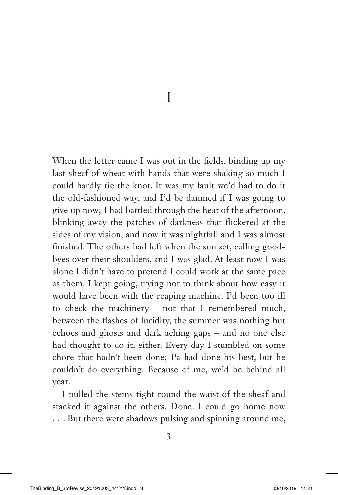I

When the letter came I was out in the fields, binding up my last sheaf of wheat with hands that were shaking so much I could hardly tie the knot. It was my fault we'd had to do it the old-fashioned way, and I'd be damned if I was going to give up now; I had battled through the heat of the afternoon, blinking away the patches of darkness that flickered at the sides of my vision, and now it was nightfall and I was almost finished. The others had left when the sun set, calling goodbyes over their shoulders, and I was glad. At least now I was alone I didn't have to pretend I could work at the same pace as them. I kept going, trying not to think about how easy it would have been with the reaping machine. I'd been too ill to check the machinery – not that I remembered much, between the flashes of lucidity, the summer was nothing but echoes and ghosts and dark aching gaps – and no one else had thought to do it, either. Every day I stumbled on some chore that hadn't been done; Pa had done his best, but he couldn't do everything. Because of me, we'd be behind all year.

I pulled the stems tight round the waist of the sheaf and stacked it against the others. Done. I could go home now . . . But there were shadows pulsing and spinning around me,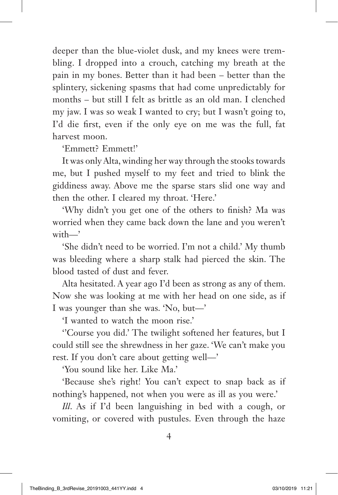deeper than the blue-violet dusk, and my knees were trembling. I dropped into a crouch, catching my breath at the pain in my bones. Better than it had been – better than the splintery, sickening spasms that had come unpredictably for months – but still I felt as brittle as an old man. I clenched my jaw. I was so weak I wanted to cry; but I wasn't going to, I'd die first, even if the only eye on me was the full, fat harvest moon.

'Emmett? Emmett!'

It was only Alta, winding her way through the stooks towards me, but I pushed myself to my feet and tried to blink the giddiness away. Above me the sparse stars slid one way and then the other. I cleared my throat. 'Here.'

'Why didn't you get one of the others to finish? Ma was worried when they came back down the lane and you weren't with—'

'She didn't need to be worried. I'm not a child.' My thumb was bleeding where a sharp stalk had pierced the skin. The blood tasted of dust and fever.

Alta hesitated. A year ago I'd been as strong as any of them. Now she was looking at me with her head on one side, as if I was younger than she was. 'No, but—'

'I wanted to watch the moon rise.'

''Course you did.' The twilight softened her features, but I could still see the shrewdness in her gaze. 'We can't make you rest. If you don't care about getting well—'

'You sound like her. Like Ma.'

'Because she's right! You can't expect to snap back as if nothing's happened, not when you were as ill as you were.'

*Ill*. As if I'd been languishing in bed with a cough, or vomiting, or covered with pustules. Even through the haze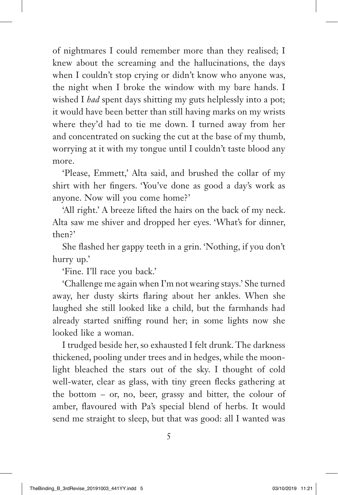of nightmares I could remember more than they realised; I knew about the screaming and the hallucinations, the days when I couldn't stop crying or didn't know who anyone was, the night when I broke the window with my bare hands. I wished I *had* spent days shitting my guts helplessly into a pot; it would have been better than still having marks on my wrists where they'd had to tie me down. I turned away from her and concentrated on sucking the cut at the base of my thumb, worrying at it with my tongue until I couldn't taste blood any more.

'Please, Emmett,' Alta said, and brushed the collar of my shirt with her fingers. 'You've done as good a day's work as anyone. Now will you come home?'

'All right.' A breeze lifted the hairs on the back of my neck. Alta saw me shiver and dropped her eyes. 'What's for dinner, then?'

She flashed her gappy teeth in a grin. 'Nothing, if you don't hurry up.'

'Fine. I'll race you back.'

'Challenge me again when I'm not wearing stays.' She turned away, her dusty skirts flaring about her ankles. When she laughed she still looked like a child, but the farmhands had already started sniffing round her; in some lights now she looked like a woman.

I trudged beside her, so exhausted I felt drunk. The darkness thickened, pooling under trees and in hedges, while the moonlight bleached the stars out of the sky. I thought of cold well-water, clear as glass, with tiny green flecks gathering at the bottom – or, no, beer, grassy and bitter, the colour of amber, flavoured with Pa's special blend of herbs. It would send me straight to sleep, but that was good: all I wanted was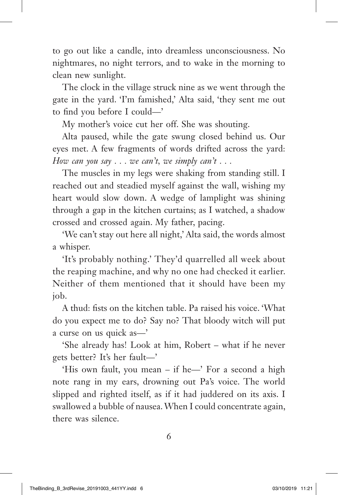to go out like a candle, into dreamless unconsciousness. No nightmares, no night terrors, and to wake in the morning to clean new sunlight.

The clock in the village struck nine as we went through the gate in the yard. 'I'm famished,' Alta said, 'they sent me out to find you before I could—'

My mother's voice cut her off. She was shouting.

Alta paused, while the gate swung closed behind us. Our eyes met. A few fragments of words drifted across the yard: *How can you say ... we can't, we simply can't...* 

The muscles in my legs were shaking from standing still. I reached out and steadied myself against the wall, wishing my heart would slow down. A wedge of lamplight was shining through a gap in the kitchen curtains; as I watched, a shadow crossed and crossed again. My father, pacing.

'We can't stay out here all night,' Alta said, the words almost a whisper.

'It's probably nothing.' They'd quarrelled all week about the reaping machine, and why no one had checked it earlier. Neither of them mentioned that it should have been my job.

A thud: fists on the kitchen table. Pa raised his voice. 'What do you expect me to do? Say no? That bloody witch will put a curse on us quick as—'

'She already has! Look at him, Robert – what if he never gets better? It's her fault—'

'His own fault, you mean – if he—' For a second a high note rang in my ears, drowning out Pa's voice. The world slipped and righted itself, as if it had juddered on its axis. I swallowed a bubble of nausea. When I could concentrate again, there was silence.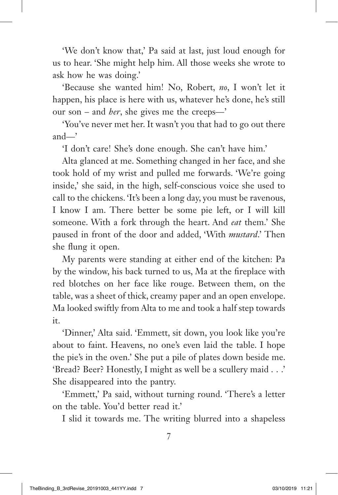'We don't know that,' Pa said at last, just loud enough for us to hear. 'She might help him. All those weeks she wrote to ask how he was doing.'

'Because she wanted him! No, Robert, *no*, I won't let it happen, his place is here with us, whatever he's done, he's still our son – and *her*, she gives me the creeps—'

'You've never met her. It wasn't you that had to go out there and—'

'I don't care! She's done enough. She can't have him.'

Alta glanced at me. Something changed in her face, and she took hold of my wrist and pulled me forwards. 'We're going inside,' she said, in the high, self-conscious voice she used to call to the chickens. 'It's been a long day, you must be ravenous, I know I am. There better be some pie left, or I will kill someone. With a fork through the heart. And *eat* them.' She paused in front of the door and added, 'With *mustard*.' Then she flung it open.

My parents were standing at either end of the kitchen: Pa by the window, his back turned to us, Ma at the fireplace with red blotches on her face like rouge. Between them, on the table, was a sheet of thick, creamy paper and an open envelope. Ma looked swiftly from Alta to me and took a half step towards it.

'Dinner,' Alta said. 'Emmett, sit down, you look like you're about to faint. Heavens, no one's even laid the table. I hope the pie's in the oven.' She put a pile of plates down beside me. 'Bread? Beer? Honestly, I might as well be a scullery maid . . .' She disappeared into the pantry.

'Emmett,' Pa said, without turning round. 'There's a letter on the table. You'd better read it.'

I slid it towards me. The writing blurred into a shapeless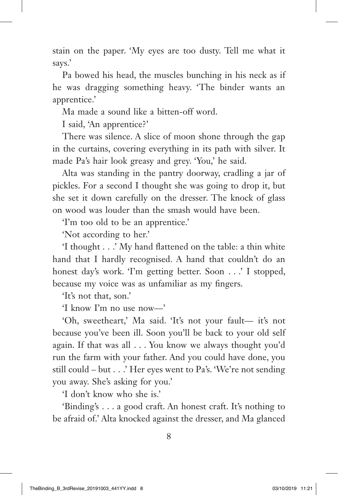stain on the paper. 'My eyes are too dusty. Tell me what it says.'

Pa bowed his head, the muscles bunching in his neck as if he was dragging something heavy. 'The binder wants an apprentice.'

Ma made a sound like a bitten-off word.

I said, 'An apprentice?'

There was silence. A slice of moon shone through the gap in the curtains, covering everything in its path with silver. It made Pa's hair look greasy and grey. 'You,' he said.

Alta was standing in the pantry doorway, cradling a jar of pickles. For a second I thought she was going to drop it, but she set it down carefully on the dresser. The knock of glass on wood was louder than the smash would have been.

'I'm too old to be an apprentice.'

'Not according to her.'

'I thought . . .' My hand flattened on the table: a thin white hand that I hardly recognised. A hand that couldn't do an honest day's work. 'I'm getting better. Soon . . .' I stopped, because my voice was as unfamiliar as my fingers.

'It's not that, son.'

'I know I'm no use now—'

'Oh, sweetheart,' Ma said. 'It's not your fault— it's not because you've been ill. Soon you'll be back to your old self again. If that was all . . . You know we always thought you'd run the farm with your father. And you could have done, you still could – but . . .' Her eyes went to Pa's. 'We're not sending you away. She's asking for you.'

'I don't know who she is.'

'Binding's . . . a good craft. An honest craft. It's nothing to be afraid of.' Alta knocked against the dresser, and Ma glanced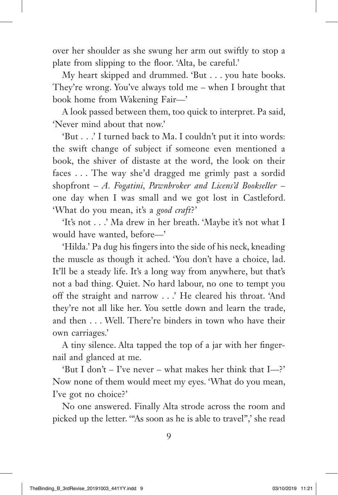over her shoulder as she swung her arm out swiftly to stop a plate from slipping to the floor. 'Alta, be careful.'

My heart skipped and drummed. 'But . . . you hate books. They're wrong. You've always told me – when I brought that book home from Wakening Fair—'

A look passed between them, too quick to interpret. Pa said, 'Never mind about that now.'

'But . . .' I turned back to Ma. I couldn't put it into words: the swift change of subject if someone even mentioned a book, the shiver of distaste at the word, the look on their faces . . . The way she'd dragged me grimly past a sordid shopfront – *A. Fogatini, Pawnbroker and Licens'd Bookseller* – one day when I was small and we got lost in Castleford. 'What do you mean, it's a *good craft*?'

'It's not . . .' Ma drew in her breath. 'Maybe it's not what I would have wanted, before—'

'Hilda.' Pa dug his fingers into the side of his neck, kneading the muscle as though it ached. 'You don't have a choice, lad. It'll be a steady life. It's a long way from anywhere, but that's not a bad thing. Quiet. No hard labour, no one to tempt you off the straight and narrow . . .' He cleared his throat. 'And they're not all like her. You settle down and learn the trade, and then . . . Well. There're binders in town who have their own carriages.'

A tiny silence. Alta tapped the top of a jar with her fingernail and glanced at me.

'But I don't – I've never – what makes her think that I—?' Now none of them would meet my eyes. 'What do you mean, I've got no choice?'

No one answered. Finally Alta strode across the room and picked up the letter. '"As soon as he is able to travel",' she read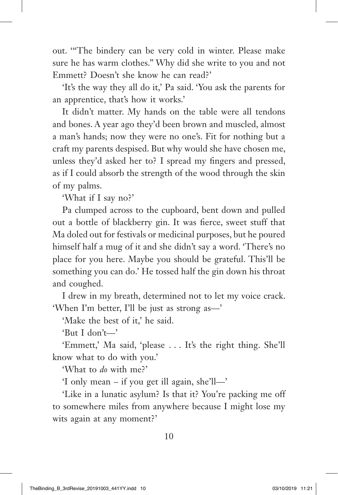out. '"The bindery can be very cold in winter. Please make sure he has warm clothes." Why did she write to you and not Emmett? Doesn't she know he can read?'

'It's the way they all do it,' Pa said. 'You ask the parents for an apprentice, that's how it works.'

It didn't matter. My hands on the table were all tendons and bones. A year ago they'd been brown and muscled, almost a man's hands; now they were no one's. Fit for nothing but a craft my parents despised. But why would she have chosen me, unless they'd asked her to? I spread my fingers and pressed, as if I could absorb the strength of the wood through the skin of my palms.

'What if I say no?'

Pa clumped across to the cupboard, bent down and pulled out a bottle of blackberry gin. It was fierce, sweet stuff that Ma doled out for festivals or medicinal purposes, but he poured himself half a mug of it and she didn't say a word. 'There's no place for you here. Maybe you should be grateful. This'll be something you can do.' He tossed half the gin down his throat and coughed.

I drew in my breath, determined not to let my voice crack. 'When I'm better, I'll be just as strong as—'

'Make the best of it,' he said.

'But I don't—'

'Emmett,' Ma said, 'please . . . It's the right thing. She'll know what to do with you.'

'What to *do* with me?'

'I only mean – if you get ill again, she'll—'

'Like in a lunatic asylum? Is that it? You're packing me off to somewhere miles from anywhere because I might lose my wits again at any moment?'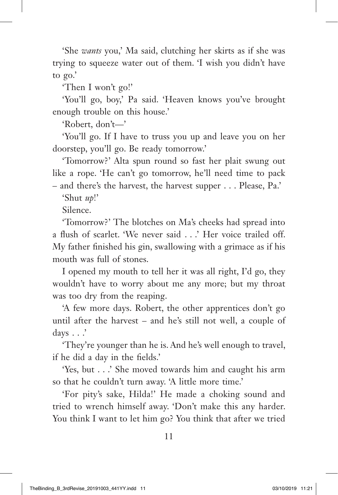'She *wants* you,' Ma said, clutching her skirts as if she was trying to squeeze water out of them. 'I wish you didn't have to go.'

'Then I won't go!'

'You'll go, boy,' Pa said. 'Heaven knows you've brought enough trouble on this house.'

'Robert, don't—'

'You'll go. If I have to truss you up and leave you on her doorstep, you'll go. Be ready tomorrow.'

'Tomorrow?' Alta spun round so fast her plait swung out like a rope. 'He can't go tomorrow, he'll need time to pack

– and there's the harvest, the harvest supper . . . Please, Pa.'

'Shut *up*!'

Silence.

'Tomorrow?' The blotches on Ma's cheeks had spread into a flush of scarlet. 'We never said . . .' Her voice trailed off. My father finished his gin, swallowing with a grimace as if his mouth was full of stones.

I opened my mouth to tell her it was all right, I'd go, they wouldn't have to worry about me any more; but my throat was too dry from the reaping.

'A few more days. Robert, the other apprentices don't go until after the harvest – and he's still not well, a couple of days  $\ldots$ 

'They're younger than he is. And he's well enough to travel, if he did a day in the fields.'

'Yes, but . . .' She moved towards him and caught his arm so that he couldn't turn away. 'A little more time.'

'For pity's sake, Hilda!' He made a choking sound and tried to wrench himself away. 'Don't make this any harder. You think I want to let him go? You think that after we tried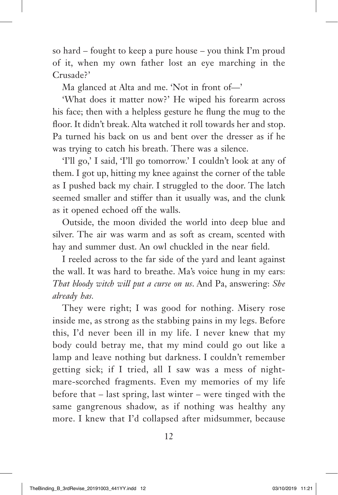so hard – fought to keep a pure house – you think I'm proud of it, when my own father lost an eye marching in the Crusade?'

Ma glanced at Alta and me. 'Not in front of—'

'What does it matter now?' He wiped his forearm across his face; then with a helpless gesture he flung the mug to the floor. It didn't break. Alta watched it roll towards her and stop. Pa turned his back on us and bent over the dresser as if he was trying to catch his breath. There was a silence.

'I'll go,' I said, 'I'll go tomorrow.' I couldn't look at any of them. I got up, hitting my knee against the corner of the table as I pushed back my chair. I struggled to the door. The latch seemed smaller and stiffer than it usually was, and the clunk as it opened echoed off the walls.

Outside, the moon divided the world into deep blue and silver. The air was warm and as soft as cream, scented with hay and summer dust. An owl chuckled in the near field.

I reeled across to the far side of the yard and leant against the wall. It was hard to breathe. Ma's voice hung in my ears: *That bloody witch will put a curse on us*. And Pa, answering: *She already has.*

They were right; I was good for nothing. Misery rose inside me, as strong as the stabbing pains in my legs. Before this, I'd never been ill in my life. I never knew that my body could betray me, that my mind could go out like a lamp and leave nothing but darkness. I couldn't remember getting sick; if I tried, all I saw was a mess of nightmare-scorched fragments. Even my memories of my life before that – last spring, last winter – were tinged with the same gangrenous shadow, as if nothing was healthy any more. I knew that I'd collapsed after midsummer, because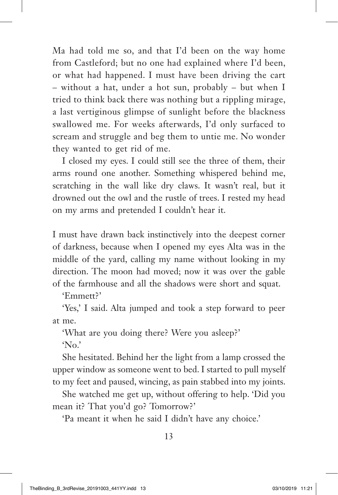Ma had told me so, and that I'd been on the way home from Castleford; but no one had explained where I'd been, or what had happened. I must have been driving the cart – without a hat, under a hot sun, probably – but when I tried to think back there was nothing but a rippling mirage, a last vertiginous glimpse of sunlight before the blackness swallowed me. For weeks afterwards, I'd only surfaced to scream and struggle and beg them to untie me. No wonder they wanted to get rid of me.

I closed my eyes. I could still see the three of them, their arms round one another. Something whispered behind me, scratching in the wall like dry claws. It wasn't real, but it drowned out the owl and the rustle of trees. I rested my head on my arms and pretended I couldn't hear it.

I must have drawn back instinctively into the deepest corner of darkness, because when I opened my eyes Alta was in the middle of the yard, calling my name without looking in my direction. The moon had moved; now it was over the gable of the farmhouse and all the shadows were short and squat.

'Emmett?'

'Yes,' I said. Alta jumped and took a step forward to peer at me.

'What are you doing there? Were you asleep?' 'No.'

She hesitated. Behind her the light from a lamp crossed the upper window as someone went to bed. I started to pull myself to my feet and paused, wincing, as pain stabbed into my joints.

She watched me get up, without offering to help. 'Did you mean it? That you'd go? Tomorrow?'

'Pa meant it when he said I didn't have any choice.'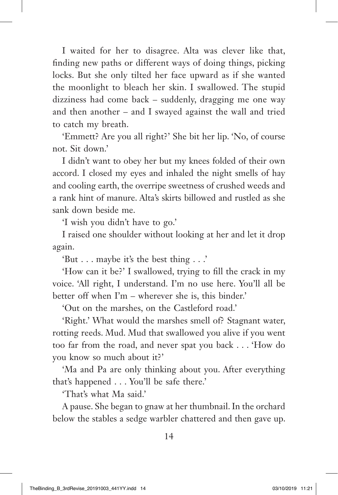I waited for her to disagree. Alta was clever like that, finding new paths or different ways of doing things, picking locks. But she only tilted her face upward as if she wanted the moonlight to bleach her skin. I swallowed. The stupid dizziness had come back – suddenly, dragging me one way and then another – and I swayed against the wall and tried to catch my breath.

'Emmett? Are you all right?' She bit her lip. 'No, of course not. Sit down.'

I didn't want to obey her but my knees folded of their own accord. I closed my eyes and inhaled the night smells of hay and cooling earth, the overripe sweetness of crushed weeds and a rank hint of manure. Alta's skirts billowed and rustled as she sank down beside me.

'I wish you didn't have to go.'

I raised one shoulder without looking at her and let it drop again.

'But . . . maybe it's the best thing . . .'

'How can it be?' I swallowed, trying to fill the crack in my voice. 'All right, I understand. I'm no use here. You'll all be better off when I'm – wherever she is, this binder.'

'Out on the marshes, on the Castleford road.'

'Right.' What would the marshes smell of? Stagnant water, rotting reeds. Mud. Mud that swallowed you alive if you went too far from the road, and never spat you back . . . 'How do you know so much about it?'

'Ma and Pa are only thinking about you. After everything that's happened . . . You'll be safe there.'

'That's what Ma said.'

A pause. She began to gnaw at her thumbnail. In the orchard below the stables a sedge warbler chattered and then gave up.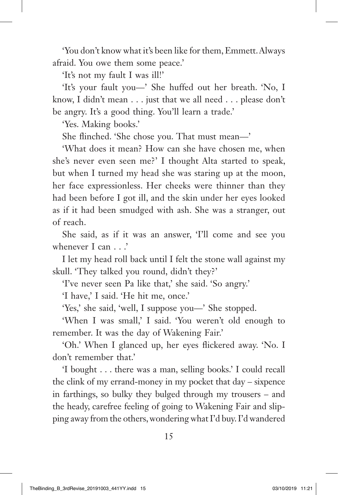'You don't know what it's been like for them, Emmett. Always afraid. You owe them some peace.'

'It's not my fault I was ill!'

'It's your fault you—' She huffed out her breath. 'No, I know, I didn't mean . . . just that we all need . . . please don't be angry. It's a good thing. You'll learn a trade.'

'Yes. Making books.'

She flinched. 'She chose you. That must mean—'

'What does it mean? How can she have chosen me, when she's never even seen me?' I thought Alta started to speak, but when I turned my head she was staring up at the moon, her face expressionless. Her cheeks were thinner than they had been before I got ill, and the skin under her eyes looked as if it had been smudged with ash. She was a stranger, out of reach.

She said, as if it was an answer, 'I'll come and see you whenever I can . . .'

I let my head roll back until I felt the stone wall against my skull. 'They talked you round, didn't they?'

'I've never seen Pa like that,' she said. 'So angry.'

'I have,' I said. 'He hit me, once.'

'Yes,' she said, 'well, I suppose you—' She stopped.

'When I was small,' I said. 'You weren't old enough to remember. It was the day of Wakening Fair.'

'Oh.' When I glanced up, her eyes flickered away. 'No. I don't remember that.'

'I bought . . . there was a man, selling books.' I could recall the clink of my errand-money in my pocket that day – sixpence in farthings, so bulky they bulged through my trousers – and the heady, carefree feeling of going to Wakening Fair and slipping away from the others, wondering what I'd buy. I'd wandered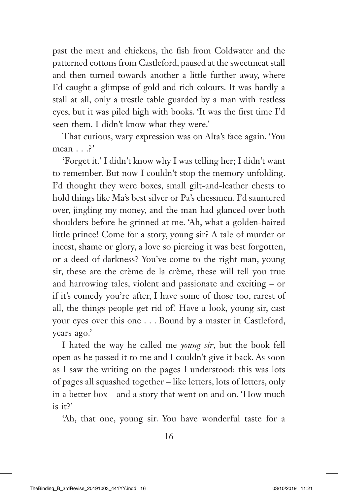past the meat and chickens, the fish from Coldwater and the patterned cottons from Castleford, paused at the sweetmeat stall and then turned towards another a little further away, where I'd caught a glimpse of gold and rich colours. It was hardly a stall at all, only a trestle table guarded by a man with restless eyes, but it was piled high with books. 'It was the first time I'd seen them. I didn't know what they were.'

That curious, wary expression was on Alta's face again. 'You mean . . .?'

'Forget it.' I didn't know why I was telling her; I didn't want to remember. But now I couldn't stop the memory unfolding. I'd thought they were boxes, small gilt-and-leather chests to hold things like Ma's best silver or Pa's chessmen. I'd sauntered over, jingling my money, and the man had glanced over both shoulders before he grinned at me. 'Ah, what a golden-haired little prince! Come for a story, young sir? A tale of murder or incest, shame or glory, a love so piercing it was best forgotten, or a deed of darkness? You've come to the right man, young sir, these are the crème de la crème, these will tell you true and harrowing tales, violent and passionate and exciting – or if it's comedy you're after, I have some of those too, rarest of all, the things people get rid of! Have a look, young sir, cast your eyes over this one . . . Bound by a master in Castleford, years ago.'

I hated the way he called me *young sir*, but the book fell open as he passed it to me and I couldn't give it back. As soon as I saw the writing on the pages I understood: this was lots of pages all squashed together – like letters, lots of letters, only in a better box – and a story that went on and on. 'How much is it?'

'Ah, that one, young sir. You have wonderful taste for a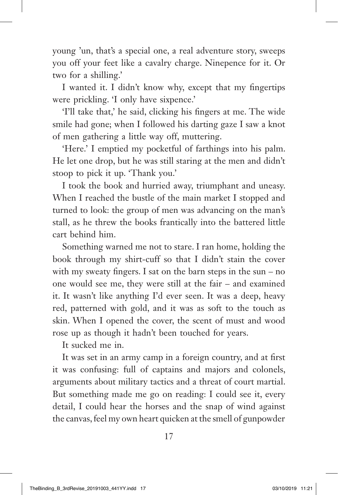young 'un, that's a special one, a real adventure story, sweeps you off your feet like a cavalry charge. Ninepence for it. Or two for a shilling.'

I wanted it. I didn't know why, except that my fingertips were prickling. 'I only have sixpence.'

'I'll take that,' he said, clicking his fingers at me. The wide smile had gone; when I followed his darting gaze I saw a knot of men gathering a little way off, muttering.

'Here.' I emptied my pocketful of farthings into his palm. He let one drop, but he was still staring at the men and didn't stoop to pick it up. 'Thank you.'

I took the book and hurried away, triumphant and uneasy. When I reached the bustle of the main market I stopped and turned to look: the group of men was advancing on the man's stall, as he threw the books frantically into the battered little cart behind him.

Something warned me not to stare. I ran home, holding the book through my shirt-cuff so that I didn't stain the cover with my sweaty fingers. I sat on the barn steps in the sun – no one would see me, they were still at the fair – and examined it. It wasn't like anything I'd ever seen. It was a deep, heavy red, patterned with gold, and it was as soft to the touch as skin. When I opened the cover, the scent of must and wood rose up as though it hadn't been touched for years.

It sucked me in.

It was set in an army camp in a foreign country, and at first it was confusing: full of captains and majors and colonels, arguments about military tactics and a threat of court martial. But something made me go on reading: I could see it, every detail, I could hear the horses and the snap of wind against the canvas, feel my own heart quicken at the smell of gunpowder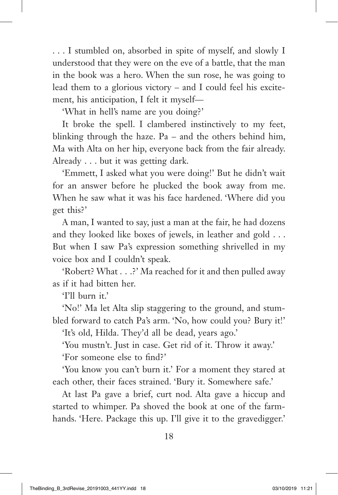. . . I stumbled on, absorbed in spite of myself, and slowly I understood that they were on the eve of a battle, that the man in the book was a hero. When the sun rose, he was going to lead them to a glorious victory – and I could feel his excitement, his anticipation, I felt it myself—

'What in hell's name are you doing?'

It broke the spell. I clambered instinctively to my feet, blinking through the haze. Pa – and the others behind him, Ma with Alta on her hip, everyone back from the fair already. Already . . . but it was getting dark.

'Emmett, I asked what you were doing!' But he didn't wait for an answer before he plucked the book away from me. When he saw what it was his face hardened. 'Where did you get this?'

A man, I wanted to say, just a man at the fair, he had dozens and they looked like boxes of jewels, in leather and gold . . . But when I saw Pa's expression something shrivelled in my voice box and I couldn't speak.

'Robert? What . . .?' Ma reached for it and then pulled away as if it had bitten her.

'I'll burn it.'

'No!' Ma let Alta slip staggering to the ground, and stumbled forward to catch Pa's arm. 'No, how could you? Bury it!'

'It's old, Hilda. They'd all be dead, years ago.'

'You mustn't. Just in case. Get rid of it. Throw it away.' 'For someone else to find?'

'You know you can't burn it.' For a moment they stared at each other, their faces strained. 'Bury it. Somewhere safe.'

At last Pa gave a brief, curt nod. Alta gave a hiccup and started to whimper. Pa shoved the book at one of the farmhands. 'Here. Package this up. I'll give it to the gravedigger.'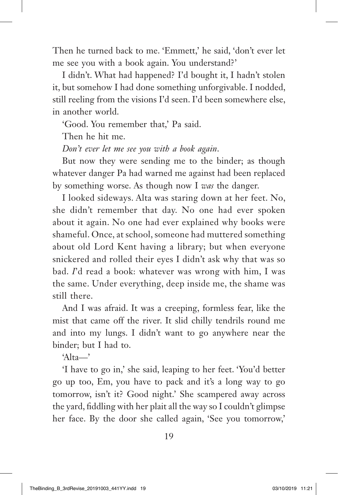Then he turned back to me. 'Emmett,' he said, 'don't ever let me see you with a book again. You understand?'

I didn't. What had happened? I'd bought it, I hadn't stolen it, but somehow I had done something unforgivable. I nodded, still reeling from the visions I'd seen. I'd been somewhere else, in another world.

'Good. You remember that,' Pa said.

Then he hit me.

*Don't ever let me see you with a book again*.

But now they were sending me to the binder; as though whatever danger Pa had warned me against had been replaced by something worse. As though now I *was* the danger.

I looked sideways. Alta was staring down at her feet. No, she didn't remember that day. No one had ever spoken about it again. No one had ever explained why books were shameful. Once, at school, someone had muttered something about old Lord Kent having a library; but when everyone snickered and rolled their eyes I didn't ask why that was so bad. *I*'d read a book: whatever was wrong with him, I was the same. Under everything, deep inside me, the shame was still there.

And I was afraid. It was a creeping, formless fear, like the mist that came off the river. It slid chilly tendrils round me and into my lungs. I didn't want to go anywhere near the binder; but I had to.

'Alta—'

'I have to go in,' she said, leaping to her feet. 'You'd better go up too, Em, you have to pack and it's a long way to go tomorrow, isn't it? Good night.' She scampered away across the yard, fiddling with her plait all the way so I couldn't glimpse her face. By the door she called again, 'See you tomorrow,'